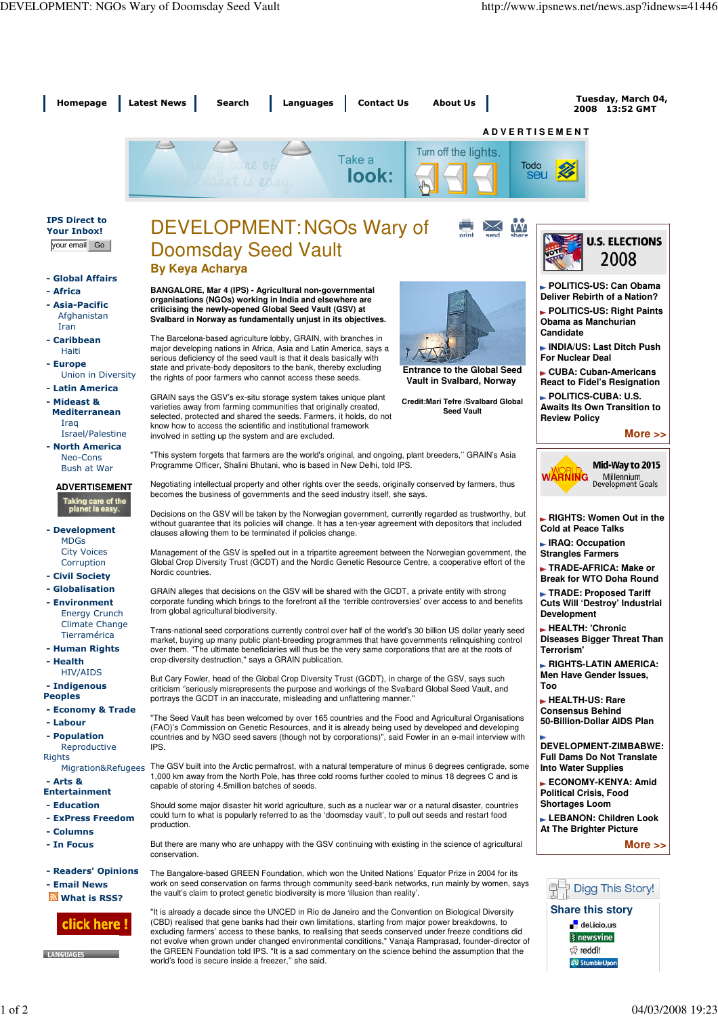